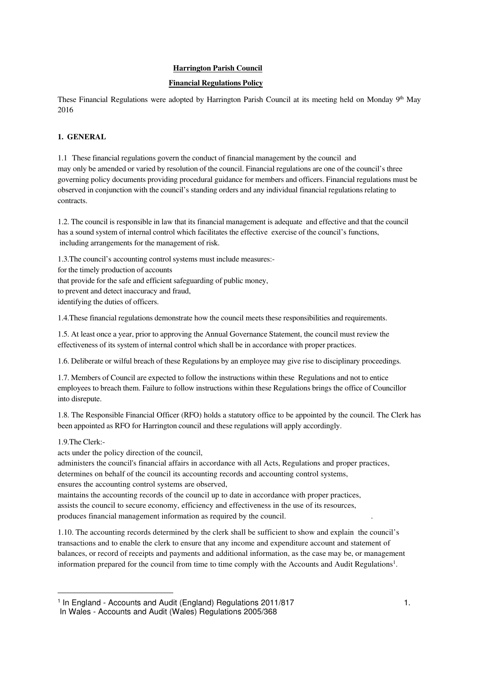# **Harrington Parish Council**

# **Financial Regulations Policy**

These Financial Regulations were adopted by Harrington Parish Council at its meeting held on Monday 9<sup>th</sup> May 2016

# **1. GENERAL**

1.1 These financial regulations govern the conduct of financial management by the council and may only be amended or varied by resolution of the council. Financial regulations are one of the council's three governing policy documents providing procedural guidance for members and officers. Financial regulations must be observed in conjunction with the council's standing orders and any individual financial regulations relating to contracts.

1.2. The council is responsible in law that its financial management is adequate and effective and that the council has a sound system of internal control which facilitates the effective exercise of the council's functions, including arrangements for the management of risk.

1.3.The council's accounting control systems must include measures: for the timely production of accounts that provide for the safe and efficient safeguarding of public money, to prevent and detect inaccuracy and fraud, identifying the duties of officers.

1.4.These financial regulations demonstrate how the council meets these responsibilities and requirements.

1.5. At least once a year, prior to approving the Annual Governance Statement, the council must review the effectiveness of its system of internal control which shall be in accordance with proper practices.

1.6. Deliberate or wilful breach of these Regulations by an employee may give rise to disciplinary proceedings.

1.7. Members of Council are expected to follow the instructions within these Regulations and not to entice employees to breach them. Failure to follow instructions within these Regulations brings the office of Councillor into disrepute.

1.8. The Responsible Financial Officer (RFO) holds a statutory office to be appointed by the council. The Clerk has been appointed as RFO for Harrington council and these regulations will apply accordingly.

## 1.9.The Clerk:-

acts under the policy direction of the council,

administers the council's financial affairs in accordance with all Acts, Regulations and proper practices, determines on behalf of the council its accounting records and accounting control systems, ensures the accounting control systems are observed,

maintains the accounting records of the council up to date in accordance with proper practices, assists the council to secure economy, efficiency and effectiveness in the use of its resources, produces financial management information as required by the council. .

1.10. The accounting records determined by the clerk shall be sufficient to show and explain the council's transactions and to enable the clerk to ensure that any income and expenditure account and statement of balances, or record of receipts and payments and additional information, as the case may be, or management information prepared for the council from time to time comply with the Accounts and Audit Regulations<sup>1</sup>.

<sup>&</sup>lt;sup>1</sup> In England - Accounts and Audit (England) Regulations 2011/817 1.

In Wales - Accounts and Audit (Wales) Regulations 2005/368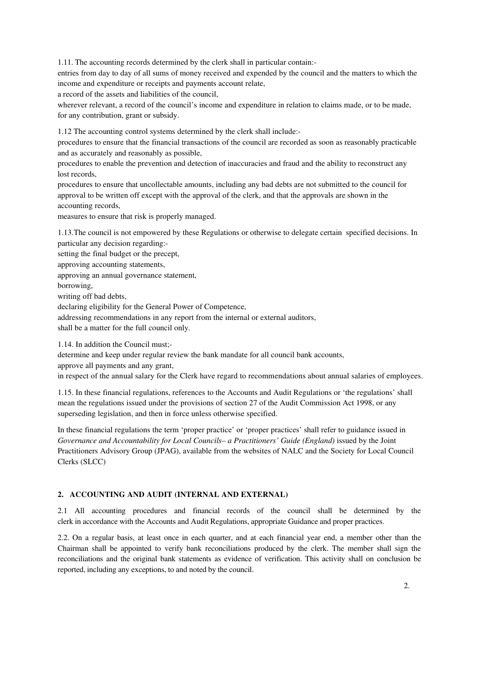1.11. The accounting records determined by the clerk shall in particular contain:-

entries from day to day of all sums of money received and expended by the council and the matters to which the income and expenditure or receipts and payments account relate,

a record of the assets and liabilities of the council,

wherever relevant, a record of the council's income and expenditure in relation to claims made, or to be made, for any contribution, grant or subsidy.

1.12 The accounting control systems determined by the clerk shall include:-

procedures to ensure that the financial transactions of the council are recorded as soon as reasonably practicable and as accurately and reasonably as possible,

procedures to enable the prevention and detection of inaccuracies and fraud and the ability to reconstruct any lost records,

procedures to ensure that uncollectable amounts, including any bad debts are not submitted to the council for approval to be written off except with the approval of the clerk, and that the approvals are shown in the accounting records,

measures to ensure that risk is properly managed.

1.13.The council is not empowered by these Regulations or otherwise to delegate certain specified decisions. In particular any decision regarding:-

setting the final budget or the precept,

approving accounting statements,

approving an annual governance statement,

borrowing,

writing off bad debts,

declaring eligibility for the General Power of Competence,

addressing recommendations in any report from the internal or external auditors,

shall be a matter for the full council only.

1.14. In addition the Council must;-

determine and keep under regular review the bank mandate for all council bank accounts,

approve all payments and any grant,

in respect of the annual salary for the Clerk have regard to recommendations about annual salaries of employees.

1.15. In these financial regulations, references to the Accounts and Audit Regulations or 'the regulations' shall mean the regulations issued under the provisions of section 27 of the Audit Commission Act 1998, or any superseding legislation, and then in force unless otherwise specified.

In these financial regulations the term 'proper practice' or 'proper practices' shall refer to guidance issued in *Governance and Accountability for Local Councils– a Practitioners' Guide (England)* issued by the Joint Practitioners Advisory Group (JPAG), available from the websites of NALC and the Society for Local Council Clerks (SLCC)

### **2. ACCOUNTING AND AUDIT (INTERNAL AND EXTERNAL)**

2.1 All accounting procedures and financial records of the council shall be determined by the clerk in accordance with the Accounts and Audit Regulations, appropriate Guidance and proper practices.

2.2. On a regular basis, at least once in each quarter, and at each financial year end, a member other than the Chairman shall be appointed to verify bank reconciliations produced by the clerk. The member shall sign the reconciliations and the original bank statements as evidence of verification. This activity shall on conclusion be reported, including any exceptions, to and noted by the council.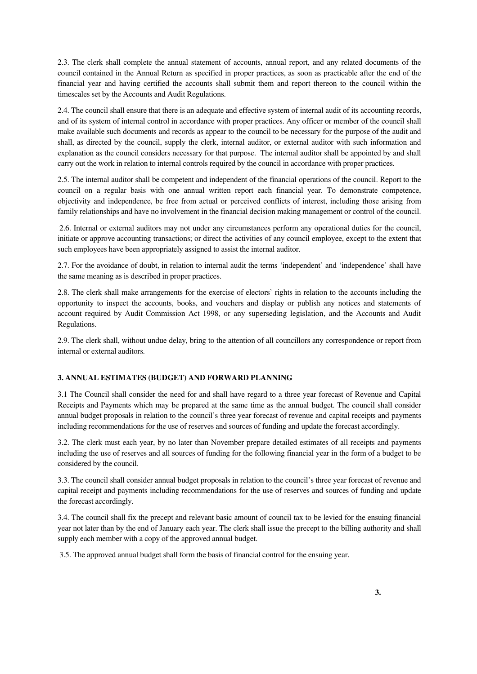2.3. The clerk shall complete the annual statement of accounts, annual report, and any related documents of the council contained in the Annual Return as specified in proper practices, as soon as practicable after the end of the financial year and having certified the accounts shall submit them and report thereon to the council within the timescales set by the Accounts and Audit Regulations.

2.4. The council shall ensure that there is an adequate and effective system of internal audit of its accounting records, and of its system of internal control in accordance with proper practices. Any officer or member of the council shall make available such documents and records as appear to the council to be necessary for the purpose of the audit and shall, as directed by the council, supply the clerk, internal auditor, or external auditor with such information and explanation as the council considers necessary for that purpose. The internal auditor shall be appointed by and shall carry out the work in relation to internal controls required by the council in accordance with proper practices.

2.5. The internal auditor shall be competent and independent of the financial operations of the council. Report to the council on a regular basis with one annual written report each financial year. To demonstrate competence, objectivity and independence, be free from actual or perceived conflicts of interest, including those arising from family relationships and have no involvement in the financial decision making management or control of the council.

2.6. Internal or external auditors may not under any circumstances perform any operational duties for the council, initiate or approve accounting transactions; or direct the activities of any council employee, except to the extent that such employees have been appropriately assigned to assist the internal auditor.

2.7. For the avoidance of doubt, in relation to internal audit the terms 'independent' and 'independence' shall have the same meaning as is described in proper practices.

2.8. The clerk shall make arrangements for the exercise of electors' rights in relation to the accounts including the opportunity to inspect the accounts, books, and vouchers and display or publish any notices and statements of account required by Audit Commission Act 1998, or any superseding legislation, and the Accounts and Audit Regulations.

2.9. The clerk shall, without undue delay, bring to the attention of all councillors any correspondence or report from internal or external auditors.

## **3. ANNUAL ESTIMATES (BUDGET) AND FORWARD PLANNING**

3.1 The Council shall consider the need for and shall have regard to a three year forecast of Revenue and Capital Receipts and Payments which may be prepared at the same time as the annual budget. The council shall consider annual budget proposals in relation to the council's three year forecast of revenue and capital receipts and payments including recommendations for the use of reserves and sources of funding and update the forecast accordingly.

3.2. The clerk must each year, by no later than November prepare detailed estimates of all receipts and payments including the use of reserves and all sources of funding for the following financial year in the form of a budget to be considered by the council.

3.3. The council shall consider annual budget proposals in relation to the council's three year forecast of revenue and capital receipt and payments including recommendations for the use of reserves and sources of funding and update the forecast accordingly.

3.4. The council shall fix the precept and relevant basic amount of council tax to be levied for the ensuing financial year not later than by the end of January each year. The clerk shall issue the precept to the billing authority and shall supply each member with a copy of the approved annual budget.

3.5. The approved annual budget shall form the basis of financial control for the ensuing year.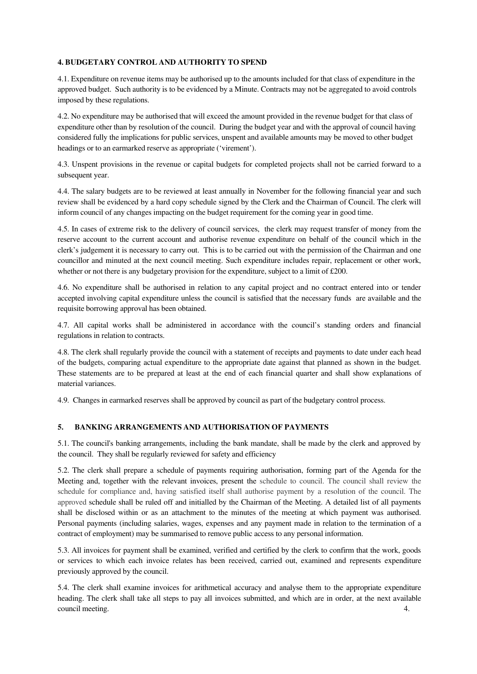## **4. BUDGETARY CONTROL AND AUTHORITY TO SPEND**

4.1. Expenditure on revenue items may be authorised up to the amounts included for that class of expenditure in the approved budget. Such authority is to be evidenced by a Minute. Contracts may not be aggregated to avoid controls imposed by these regulations.

4.2. No expenditure may be authorised that will exceed the amount provided in the revenue budget for that class of expenditure other than by resolution of the council. During the budget year and with the approval of council having considered fully the implications for public services, unspent and available amounts may be moved to other budget headings or to an earmarked reserve as appropriate ('virement').

4.3. Unspent provisions in the revenue or capital budgets for completed projects shall not be carried forward to a subsequent year.

4.4. The salary budgets are to be reviewed at least annually in November for the following financial year and such review shall be evidenced by a hard copy schedule signed by the Clerk and the Chairman of Council. The clerk will inform council of any changes impacting on the budget requirement for the coming year in good time.

4.5. In cases of extreme risk to the delivery of council services, the clerk may request transfer of money from the reserve account to the current account and authorise revenue expenditure on behalf of the council which in the clerk's judgement it is necessary to carry out. This is to be carried out with the permission of the Chairman and one councillor and minuted at the next council meeting. Such expenditure includes repair, replacement or other work, whether or not there is any budgetary provision for the expenditure, subject to a limit of £200.

4.6. No expenditure shall be authorised in relation to any capital project and no contract entered into or tender accepted involving capital expenditure unless the council is satisfied that the necessary funds are available and the requisite borrowing approval has been obtained.

4.7. All capital works shall be administered in accordance with the council's standing orders and financial regulations in relation to contracts.

4.8. The clerk shall regularly provide the council with a statement of receipts and payments to date under each head of the budgets, comparing actual expenditure to the appropriate date against that planned as shown in the budget. These statements are to be prepared at least at the end of each financial quarter and shall show explanations of material variances.

4.9. Changes in earmarked reserves shall be approved by council as part of the budgetary control process.

### **5. BANKING ARRANGEMENTS AND AUTHORISATION OF PAYMENTS**

5.1. The council's banking arrangements, including the bank mandate, shall be made by the clerk and approved by the council. They shall be regularly reviewed for safety and efficiency

5.2. The clerk shall prepare a schedule of payments requiring authorisation, forming part of the Agenda for the Meeting and, together with the relevant invoices, present the schedule to council. The council shall review the schedule for compliance and, having satisfied itself shall authorise payment by a resolution of the council. The approved schedule shall be ruled off and initialled by the Chairman of the Meeting. A detailed list of all payments shall be disclosed within or as an attachment to the minutes of the meeting at which payment was authorised. Personal payments (including salaries, wages, expenses and any payment made in relation to the termination of a contract of employment) may be summarised to remove public access to any personal information.

5.3. All invoices for payment shall be examined, verified and certified by the clerk to confirm that the work, goods or services to which each invoice relates has been received, carried out, examined and represents expenditure previously approved by the council.

5.4. The clerk shall examine invoices for arithmetical accuracy and analyse them to the appropriate expenditure heading. The clerk shall take all steps to pay all invoices submitted, and which are in order, at the next available council meeting. 4.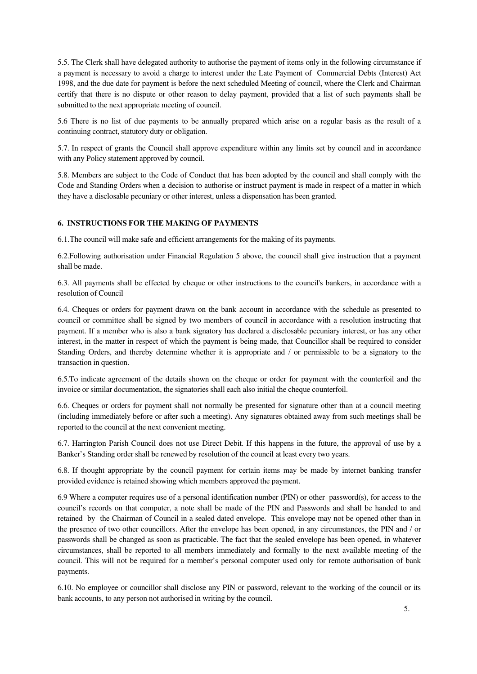5.5. The Clerk shall have delegated authority to authorise the payment of items only in the following circumstance if a payment is necessary to avoid a charge to interest under the Late Payment of Commercial Debts (Interest) Act 1998, and the due date for payment is before the next scheduled Meeting of council, where the Clerk and Chairman certify that there is no dispute or other reason to delay payment, provided that a list of such payments shall be submitted to the next appropriate meeting of council.

5.6 There is no list of due payments to be annually prepared which arise on a regular basis as the result of a continuing contract, statutory duty or obligation.

5.7. In respect of grants the Council shall approve expenditure within any limits set by council and in accordance with any Policy statement approved by council.

5.8. Members are subject to the Code of Conduct that has been adopted by the council and shall comply with the Code and Standing Orders when a decision to authorise or instruct payment is made in respect of a matter in which they have a disclosable pecuniary or other interest, unless a dispensation has been granted.

## **6. INSTRUCTIONS FOR THE MAKING OF PAYMENTS**

6.1.The council will make safe and efficient arrangements for the making of its payments.

6.2.Following authorisation under Financial Regulation 5 above, the council shall give instruction that a payment shall be made.

6.3. All payments shall be effected by cheque or other instructions to the council's bankers, in accordance with a resolution of Council

6.4. Cheques or orders for payment drawn on the bank account in accordance with the schedule as presented to council or committee shall be signed by two members of council in accordance with a resolution instructing that payment. If a member who is also a bank signatory has declared a disclosable pecuniary interest, or has any other interest, in the matter in respect of which the payment is being made, that Councillor shall be required to consider Standing Orders, and thereby determine whether it is appropriate and / or permissible to be a signatory to the transaction in question.

6.5.To indicate agreement of the details shown on the cheque or order for payment with the counterfoil and the invoice or similar documentation, the signatories shall each also initial the cheque counterfoil.

6.6. Cheques or orders for payment shall not normally be presented for signature other than at a council meeting (including immediately before or after such a meeting). Any signatures obtained away from such meetings shall be reported to the council at the next convenient meeting.

6.7. Harrington Parish Council does not use Direct Debit. If this happens in the future, the approval of use by a Banker's Standing order shall be renewed by resolution of the council at least every two years.

6.8. If thought appropriate by the council payment for certain items may be made by internet banking transfer provided evidence is retained showing which members approved the payment.

6.9 Where a computer requires use of a personal identification number (PIN) or other password(s), for access to the council's records on that computer, a note shall be made of the PIN and Passwords and shall be handed to and retained by the Chairman of Council in a sealed dated envelope. This envelope may not be opened other than in the presence of two other councillors. After the envelope has been opened, in any circumstances, the PIN and / or passwords shall be changed as soon as practicable. The fact that the sealed envelope has been opened, in whatever circumstances, shall be reported to all members immediately and formally to the next available meeting of the council. This will not be required for a member's personal computer used only for remote authorisation of bank payments.

6.10. No employee or councillor shall disclose any PIN or password, relevant to the working of the council or its bank accounts, to any person not authorised in writing by the council.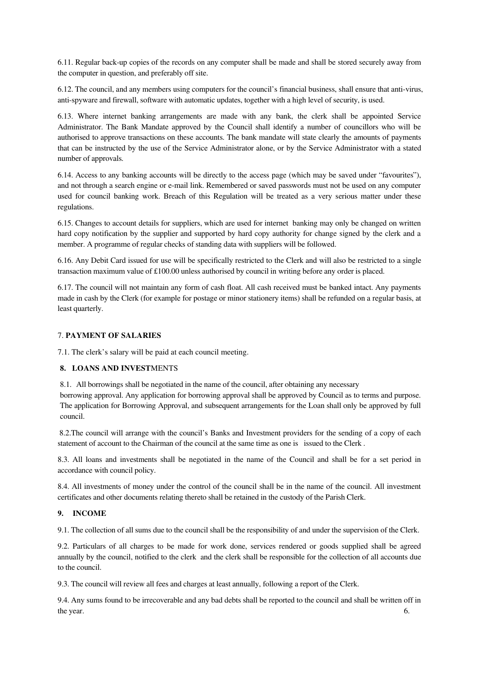6.11. Regular back-up copies of the records on any computer shall be made and shall be stored securely away from the computer in question, and preferably off site.

6.12. The council, and any members using computers for the council's financial business, shall ensure that anti-virus, anti-spyware and firewall, software with automatic updates, together with a high level of security, is used.

6.13. Where internet banking arrangements are made with any bank, the clerk shall be appointed Service Administrator. The Bank Mandate approved by the Council shall identify a number of councillors who will be authorised to approve transactions on these accounts. The bank mandate will state clearly the amounts of payments that can be instructed by the use of the Service Administrator alone, or by the Service Administrator with a stated number of approvals.

6.14. Access to any banking accounts will be directly to the access page (which may be saved under "favourites"), and not through a search engine or e-mail link. Remembered or saved passwords must not be used on any computer used for council banking work. Breach of this Regulation will be treated as a very serious matter under these regulations.

6.15. Changes to account details for suppliers, which are used for internet banking may only be changed on written hard copy notification by the supplier and supported by hard copy authority for change signed by the clerk and a member. A programme of regular checks of standing data with suppliers will be followed.

6.16. Any Debit Card issued for use will be specifically restricted to the Clerk and will also be restricted to a single transaction maximum value of £100.00 unless authorised by council in writing before any order is placed.

6.17. The council will not maintain any form of cash float. All cash received must be banked intact. Any payments made in cash by the Clerk (for example for postage or minor stationery items) shall be refunded on a regular basis, at least quarterly.

## 7. **PAYMENT OF SALARIES**

7.1. The clerk's salary will be paid at each council meeting.

### **8. LOANS AND INVEST**MENTS

8.1. All borrowings shall be negotiated in the name of the council, after obtaining any necessary

borrowing approval. Any application for borrowing approval shall be approved by Council as to terms and purpose. The application for Borrowing Approval, and subsequent arrangements for the Loan shall only be approved by full council.

8.2.The council will arrange with the council's Banks and Investment providers for the sending of a copy of each statement of account to the Chairman of the council at the same time as one is issued to the Clerk .

8.3. All loans and investments shall be negotiated in the name of the Council and shall be for a set period in accordance with council policy.

8.4. All investments of money under the control of the council shall be in the name of the council. All investment certificates and other documents relating thereto shall be retained in the custody of the Parish Clerk.

### **9. INCOME**

9.1. The collection of all sums due to the council shall be the responsibility of and under the supervision of the Clerk.

9.2. Particulars of all charges to be made for work done, services rendered or goods supplied shall be agreed annually by the council, notified to the clerk and the clerk shall be responsible for the collection of all accounts due to the council.

9.3. The council will review all fees and charges at least annually, following a report of the Clerk.

9.4. Any sums found to be irrecoverable and any bad debts shall be reported to the council and shall be written off in the year. 6.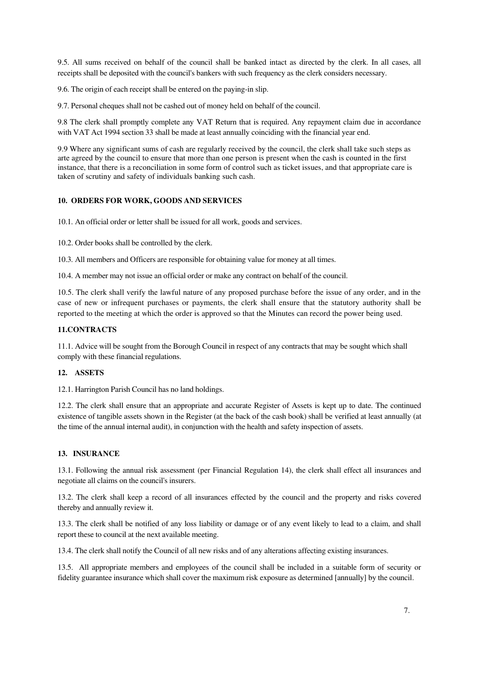9.5. All sums received on behalf of the council shall be banked intact as directed by the clerk. In all cases, all receipts shall be deposited with the council's bankers with such frequency as the clerk considers necessary.

9.6. The origin of each receipt shall be entered on the paying-in slip.

9.7. Personal cheques shall not be cashed out of money held on behalf of the council.

9.8 The clerk shall promptly complete any VAT Return that is required. Any repayment claim due in accordance with VAT Act 1994 section 33 shall be made at least annually coinciding with the financial year end.

9.9 Where any significant sums of cash are regularly received by the council, the clerk shall take such steps as arte agreed by the council to ensure that more than one person is present when the cash is counted in the first instance, that there is a reconciliation in some form of control such as ticket issues, and that appropriate care is taken of scrutiny and safety of individuals banking such cash.

## **10. ORDERS FOR WORK, GOODS AND SERVICES**

10.1. An official order or letter shall be issued for all work, goods and services.

10.2. Order books shall be controlled by the clerk.

10.3. All members and Officers are responsible for obtaining value for money at all times.

10.4. A member may not issue an official order or make any contract on behalf of the council.

10.5. The clerk shall verify the lawful nature of any proposed purchase before the issue of any order, and in the case of new or infrequent purchases or payments, the clerk shall ensure that the statutory authority shall be reported to the meeting at which the order is approved so that the Minutes can record the power being used.

## **11.CONTRACTS**

11.1. Advice will be sought from the Borough Council in respect of any contracts that may be sought which shall comply with these financial regulations.

### **12. ASSETS**

12.1. Harrington Parish Council has no land holdings.

12.2. The clerk shall ensure that an appropriate and accurate Register of Assets is kept up to date. The continued existence of tangible assets shown in the Register (at the back of the cash book) shall be verified at least annually (at the time of the annual internal audit), in conjunction with the health and safety inspection of assets.

### **13. INSURANCE**

13.1. Following the annual risk assessment (per Financial Regulation 14), the clerk shall effect all insurances and negotiate all claims on the council's insurers.

13.2. The clerk shall keep a record of all insurances effected by the council and the property and risks covered thereby and annually review it.

13.3. The clerk shall be notified of any loss liability or damage or of any event likely to lead to a claim, and shall report these to council at the next available meeting.

13.4. The clerk shall notify the Council of all new risks and of any alterations affecting existing insurances.

13.5. All appropriate members and employees of the council shall be included in a suitable form of security or fidelity guarantee insurance which shall cover the maximum risk exposure as determined [annually] by the council.